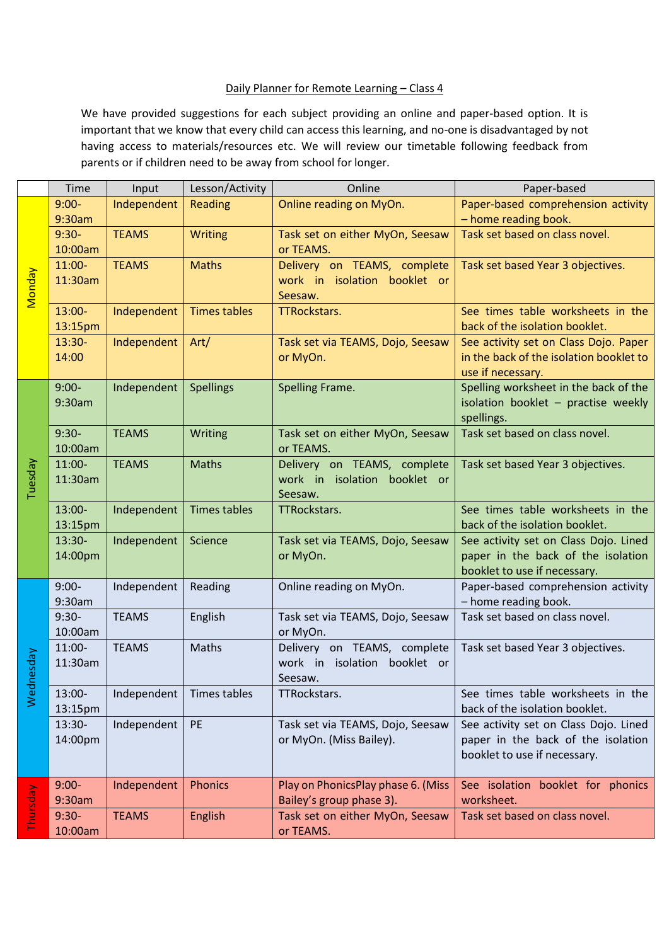## Daily Planner for Remote Learning - Class 4

We have provided suggestions for each subject providing an online and paper-based option. It is important that we know that every child can access this learning, and no-one is disadvantaged by not having access to materials/resources etc. We will review our timetable following feedback from parents or if children need to be away from school for longer.

|               | Time               | Input        | Lesson/Activity     | Online                                       | Paper-based                                                        |
|---------------|--------------------|--------------|---------------------|----------------------------------------------|--------------------------------------------------------------------|
| <b>Monday</b> | $9:00-$            | Independent  | Reading             | Online reading on MyOn.                      | Paper-based comprehension activity                                 |
|               | 9:30am             |              |                     |                                              | - home reading book.                                               |
|               | $9:30-$            | <b>TEAMS</b> | <b>Writing</b>      | Task set on either MyOn, Seesaw              | Task set based on class novel.                                     |
|               | 10:00am            |              |                     | or TEAMS.                                    |                                                                    |
|               | $11:00-$           | <b>TEAMS</b> | <b>Maths</b>        | Delivery on TEAMS, complete                  | Task set based Year 3 objectives.                                  |
|               | 11:30am            |              |                     | work in isolation booklet or                 |                                                                    |
|               |                    |              |                     | Seesaw.                                      |                                                                    |
|               | $13:00-$           | Independent  | <b>Times tables</b> | TTRockstars.                                 | See times table worksheets in the                                  |
|               | 13:15pm            |              |                     |                                              | back of the isolation booklet.                                     |
|               | $13:30-$           | Independent  | Art/                | Task set via TEAMS, Dojo, Seesaw             | See activity set on Class Dojo. Paper                              |
|               | 14:00              |              |                     | or MyOn.                                     | in the back of the isolation booklet to                            |
|               |                    |              |                     |                                              | use if necessary.                                                  |
|               | $9:00-$            | Independent  | <b>Spellings</b>    | Spelling Frame.                              | Spelling worksheet in the back of the                              |
|               | 9:30am             |              |                     |                                              | isolation booklet - practise weekly                                |
|               |                    |              |                     |                                              | spellings.                                                         |
|               | $9:30-$<br>10:00am | <b>TEAMS</b> | Writing             | Task set on either MyOn, Seesaw<br>or TEAMS. | Task set based on class novel.                                     |
|               | 11:00-             | <b>TEAMS</b> | <b>Maths</b>        | Delivery on TEAMS, complete                  |                                                                    |
|               | 11:30am            |              |                     | work in isolation booklet or                 | Task set based Year 3 objectives.                                  |
| Tuesday       |                    |              |                     | Seesaw.                                      |                                                                    |
|               | 13:00-             | Independent  | <b>Times tables</b> | TTRockstars.                                 | See times table worksheets in the                                  |
|               | 13:15pm            |              |                     |                                              | back of the isolation booklet.                                     |
|               | 13:30-             | Independent  | Science             | Task set via TEAMS, Dojo, Seesaw             | See activity set on Class Dojo. Lined                              |
|               | 14:00pm            |              |                     | or MyOn.                                     | paper in the back of the isolation                                 |
|               |                    |              |                     |                                              | booklet to use if necessary.                                       |
|               | $9:00-$            | Independent  | Reading             | Online reading on MyOn.                      | Paper-based comprehension activity                                 |
|               | 9:30am             |              |                     |                                              | - home reading book.                                               |
|               | $9:30-$            | <b>TEAMS</b> | English             | Task set via TEAMS, Dojo, Seesaw             | Task set based on class novel.                                     |
|               | 10:00am            |              |                     | or MyOn.                                     |                                                                    |
|               | 11:00-             | <b>TEAMS</b> | <b>Maths</b>        | Delivery on TEAMS, complete                  | Task set based Year 3 objectives.                                  |
| hesday        | 11:30am            |              |                     | work in isolation booklet or                 |                                                                    |
| Wed           |                    |              |                     | Seesaw.                                      |                                                                    |
|               | 13:00-             | Independent  | Times tables        | TTRockstars.                                 | See times table worksheets in the                                  |
|               | 13:15pm            |              |                     |                                              | back of the isolation booklet.                                     |
|               | 13:30-             | Independent  | PE                  | Task set via TEAMS, Dojo, Seesaw             | See activity set on Class Dojo. Lined                              |
|               | 14:00pm            |              |                     | or MyOn. (Miss Bailey).                      | paper in the back of the isolation<br>booklet to use if necessary. |
|               |                    |              |                     |                                              |                                                                    |
| Thursday      | $9:00-$            | Independent  | <b>Phonics</b>      | Play on PhonicsPlay phase 6. (Miss           | See isolation booklet for phonics                                  |
|               | 9:30am             |              |                     | Bailey's group phase 3).                     | worksheet.                                                         |
|               | $9:30-$            | <b>TEAMS</b> | English             | Task set on either MyOn, Seesaw              | Task set based on class novel.                                     |
|               | 10:00am            |              |                     | or TEAMS.                                    |                                                                    |